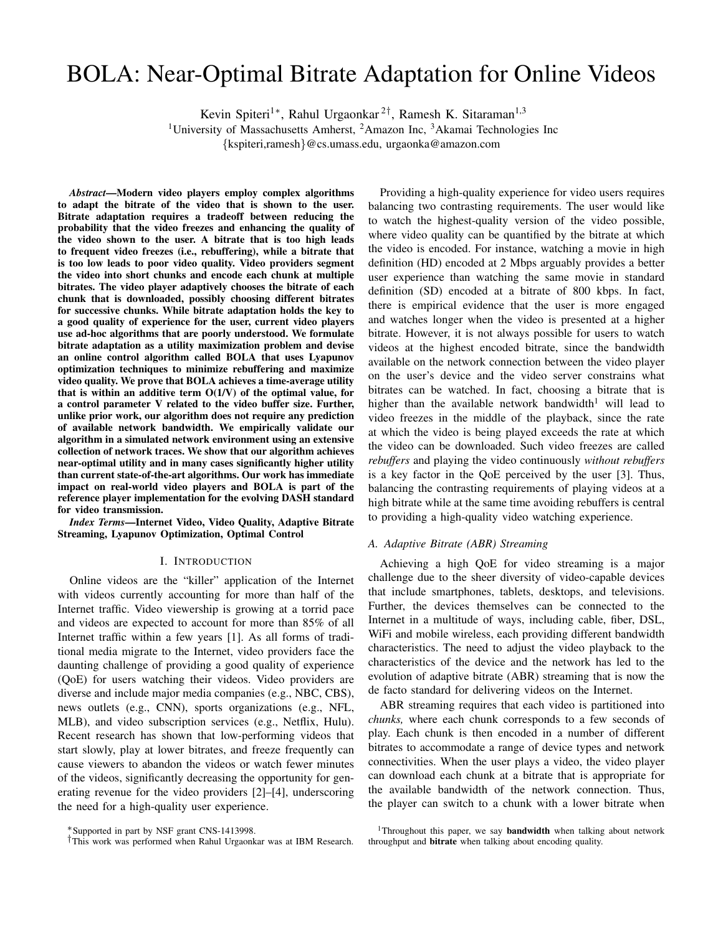# BOLA: Near-Optimal Bitrate Adaptation for Online Videos

Kevin Spiteri<sup>1</sup>\*, Rahul Urgaonkar<sup>2†</sup>, Ramesh K. Sitaraman<sup>1,3</sup>

<sup>1</sup>University of Massachusetts Amherst, <sup>2</sup>Amazon Inc, <sup>3</sup>Akamai Technologies Inc

{kspiteri,ramesh}@cs.umass.edu, urgaonka@amazon.com

*Abstract*—Modern video players employ complex algorithms to adapt the bitrate of the video that is shown to the user. Bitrate adaptation requires a tradeoff between reducing the probability that the video freezes and enhancing the quality of the video shown to the user. A bitrate that is too high leads to frequent video freezes (i.e., rebuffering), while a bitrate that is too low leads to poor video quality. Video providers segment the video into short chunks and encode each chunk at multiple bitrates. The video player adaptively chooses the bitrate of each chunk that is downloaded, possibly choosing different bitrates for successive chunks. While bitrate adaptation holds the key to a good quality of experience for the user, current video players use ad-hoc algorithms that are poorly understood. We formulate bitrate adaptation as a utility maximization problem and devise an online control algorithm called BOLA that uses Lyapunov optimization techniques to minimize rebuffering and maximize video quality. We prove that BOLA achieves a time-average utility that is within an additive term  $O(1/V)$  of the optimal value, for a control parameter V related to the video buffer size. Further, unlike prior work, our algorithm does not require any prediction of available network bandwidth. We empirically validate our algorithm in a simulated network environment using an extensive collection of network traces. We show that our algorithm achieves near-optimal utility and in many cases significantly higher utility than current state-of-the-art algorithms. Our work has immediate impact on real-world video players and BOLA is part of the reference player implementation for the evolving DASH standard for video transmission.

*Index Terms*—Internet Video, Video Quality, Adaptive Bitrate Streaming, Lyapunov Optimization, Optimal Control

## I. INTRODUCTION

Online videos are the "killer" application of the Internet with videos currently accounting for more than half of the Internet traffic. Video viewership is growing at a torrid pace and videos are expected to account for more than 85% of all Internet traffic within a few years [1]. As all forms of traditional media migrate to the Internet, video providers face the daunting challenge of providing a good quality of experience (QoE) for users watching their videos. Video providers are diverse and include major media companies (e.g., NBC, CBS), news outlets (e.g., CNN), sports organizations (e.g., NFL, MLB), and video subscription services (e.g., Netflix, Hulu). Recent research has shown that low-performing videos that start slowly, play at lower bitrates, and freeze frequently can cause viewers to abandon the videos or watch fewer minutes of the videos, significantly decreasing the opportunity for generating revenue for the video providers [2]–[4], underscoring the need for a high-quality user experience.

Providing a high-quality experience for video users requires balancing two contrasting requirements. The user would like to watch the highest-quality version of the video possible, where video quality can be quantified by the bitrate at which the video is encoded. For instance, watching a movie in high definition (HD) encoded at 2 Mbps arguably provides a better user experience than watching the same movie in standard definition (SD) encoded at a bitrate of 800 kbps. In fact, there is empirical evidence that the user is more engaged and watches longer when the video is presented at a higher bitrate. However, it is not always possible for users to watch videos at the highest encoded bitrate, since the bandwidth available on the network connection between the video player on the user's device and the video server constrains what bitrates can be watched. In fact, choosing a bitrate that is higher than the available network bandwidth<sup>1</sup> will lead to video freezes in the middle of the playback, since the rate at which the video is being played exceeds the rate at which the video can be downloaded. Such video freezes are called *rebuffers* and playing the video continuously *without rebuffers* is a key factor in the QoE perceived by the user [3]. Thus, balancing the contrasting requirements of playing videos at a high bitrate while at the same time avoiding rebuffers is central to providing a high-quality video watching experience.

# *A. Adaptive Bitrate (ABR) Streaming*

Achieving a high QoE for video streaming is a major challenge due to the sheer diversity of video-capable devices that include smartphones, tablets, desktops, and televisions. Further, the devices themselves can be connected to the Internet in a multitude of ways, including cable, fiber, DSL, WiFi and mobile wireless, each providing different bandwidth characteristics. The need to adjust the video playback to the characteristics of the device and the network has led to the evolution of adaptive bitrate (ABR) streaming that is now the de facto standard for delivering videos on the Internet.

ABR streaming requires that each video is partitioned into *chunks,* where each chunk corresponds to a few seconds of play. Each chunk is then encoded in a number of different bitrates to accommodate a range of device types and network connectivities. When the user plays a video, the video player can download each chunk at a bitrate that is appropriate for the available bandwidth of the network connection. Thus, the player can switch to a chunk with a lower bitrate when

<sup>∗</sup>Supported in part by NSF grant CNS-1413998.

<sup>†</sup>This work was performed when Rahul Urgaonkar was at IBM Research.

<sup>&</sup>lt;sup>1</sup>Throughout this paper, we say **bandwidth** when talking about network throughput and bitrate when talking about encoding quality.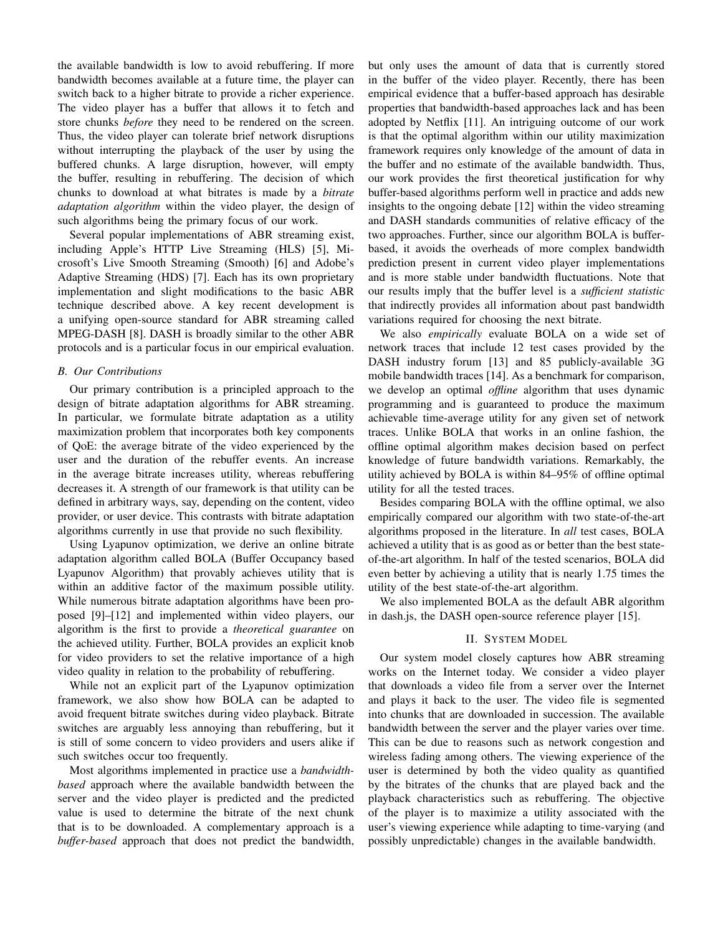the available bandwidth is low to avoid rebuffering. If more bandwidth becomes available at a future time, the player can switch back to a higher bitrate to provide a richer experience. The video player has a buffer that allows it to fetch and store chunks *before* they need to be rendered on the screen. Thus, the video player can tolerate brief network disruptions without interrupting the playback of the user by using the buffered chunks. A large disruption, however, will empty the buffer, resulting in rebuffering. The decision of which chunks to download at what bitrates is made by a *bitrate adaptation algorithm* within the video player, the design of such algorithms being the primary focus of our work.

Several popular implementations of ABR streaming exist, including Apple's HTTP Live Streaming (HLS) [5], Microsoft's Live Smooth Streaming (Smooth) [6] and Adobe's Adaptive Streaming (HDS) [7]. Each has its own proprietary implementation and slight modifications to the basic ABR technique described above. A key recent development is a unifying open-source standard for ABR streaming called MPEG-DASH [8]. DASH is broadly similar to the other ABR protocols and is a particular focus in our empirical evaluation.

# *B. Our Contributions*

Our primary contribution is a principled approach to the design of bitrate adaptation algorithms for ABR streaming. In particular, we formulate bitrate adaptation as a utility maximization problem that incorporates both key components of QoE: the average bitrate of the video experienced by the user and the duration of the rebuffer events. An increase in the average bitrate increases utility, whereas rebuffering decreases it. A strength of our framework is that utility can be defined in arbitrary ways, say, depending on the content, video provider, or user device. This contrasts with bitrate adaptation algorithms currently in use that provide no such flexibility.

Using Lyapunov optimization, we derive an online bitrate adaptation algorithm called BOLA (Buffer Occupancy based Lyapunov Algorithm) that provably achieves utility that is within an additive factor of the maximum possible utility. While numerous bitrate adaptation algorithms have been proposed [9]–[12] and implemented within video players, our algorithm is the first to provide a *theoretical guarantee* on the achieved utility. Further, BOLA provides an explicit knob for video providers to set the relative importance of a high video quality in relation to the probability of rebuffering.

While not an explicit part of the Lyapunov optimization framework, we also show how BOLA can be adapted to avoid frequent bitrate switches during video playback. Bitrate switches are arguably less annoying than rebuffering, but it is still of some concern to video providers and users alike if such switches occur too frequently.

Most algorithms implemented in practice use a *bandwidthbased* approach where the available bandwidth between the server and the video player is predicted and the predicted value is used to determine the bitrate of the next chunk that is to be downloaded. A complementary approach is a *buffer-based* approach that does not predict the bandwidth, but only uses the amount of data that is currently stored in the buffer of the video player. Recently, there has been empirical evidence that a buffer-based approach has desirable properties that bandwidth-based approaches lack and has been adopted by Netflix [11]. An intriguing outcome of our work is that the optimal algorithm within our utility maximization framework requires only knowledge of the amount of data in the buffer and no estimate of the available bandwidth. Thus, our work provides the first theoretical justification for why buffer-based algorithms perform well in practice and adds new insights to the ongoing debate [12] within the video streaming and DASH standards communities of relative efficacy of the two approaches. Further, since our algorithm BOLA is bufferbased, it avoids the overheads of more complex bandwidth prediction present in current video player implementations and is more stable under bandwidth fluctuations. Note that our results imply that the buffer level is a *sufficient statistic* that indirectly provides all information about past bandwidth variations required for choosing the next bitrate.

We also *empirically* evaluate BOLA on a wide set of network traces that include 12 test cases provided by the DASH industry forum [13] and 85 publicly-available 3G mobile bandwidth traces [14]. As a benchmark for comparison, we develop an optimal *offline* algorithm that uses dynamic programming and is guaranteed to produce the maximum achievable time-average utility for any given set of network traces. Unlike BOLA that works in an online fashion, the offline optimal algorithm makes decision based on perfect knowledge of future bandwidth variations. Remarkably, the utility achieved by BOLA is within 84–95% of offline optimal utility for all the tested traces.

Besides comparing BOLA with the offline optimal, we also empirically compared our algorithm with two state-of-the-art algorithms proposed in the literature. In *all* test cases, BOLA achieved a utility that is as good as or better than the best stateof-the-art algorithm. In half of the tested scenarios, BOLA did even better by achieving a utility that is nearly 1.75 times the utility of the best state-of-the-art algorithm.

We also implemented BOLA as the default ABR algorithm in dash.js, the DASH open-source reference player [15].

#### II. SYSTEM MODEL

Our system model closely captures how ABR streaming works on the Internet today. We consider a video player that downloads a video file from a server over the Internet and plays it back to the user. The video file is segmented into chunks that are downloaded in succession. The available bandwidth between the server and the player varies over time. This can be due to reasons such as network congestion and wireless fading among others. The viewing experience of the user is determined by both the video quality as quantified by the bitrates of the chunks that are played back and the playback characteristics such as rebuffering. The objective of the player is to maximize a utility associated with the user's viewing experience while adapting to time-varying (and possibly unpredictable) changes in the available bandwidth.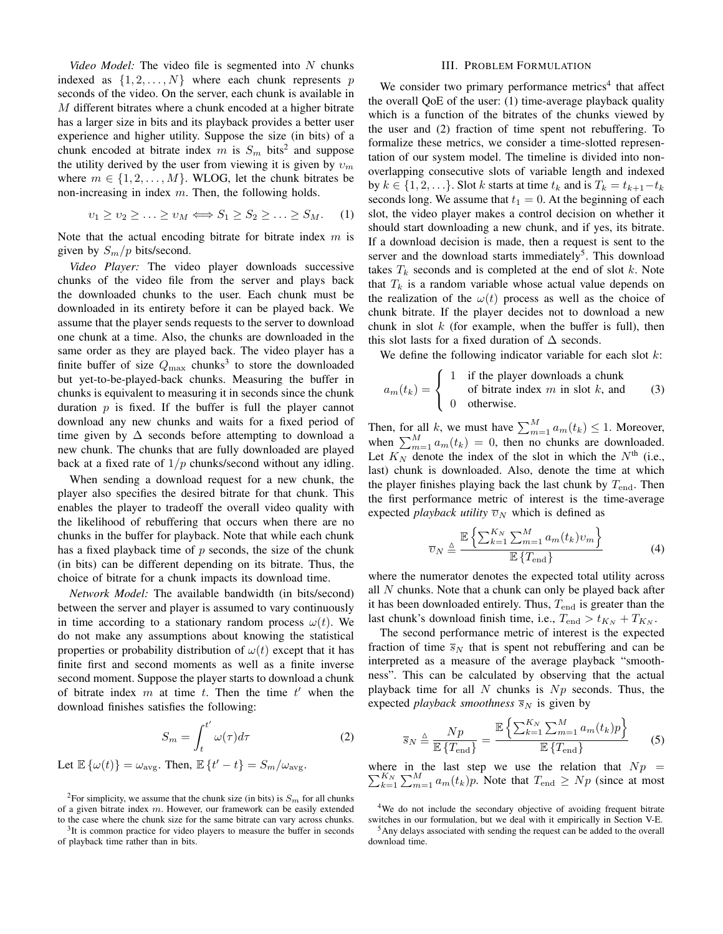*Video Model:* The video file is segmented into N chunks indexed as  $\{1, 2, ..., N\}$  where each chunk represents p seconds of the video. On the server, each chunk is available in M different bitrates where a chunk encoded at a higher bitrate has a larger size in bits and its playback provides a better user experience and higher utility. Suppose the size (in bits) of a chunk encoded at bitrate index m is  $S_m$  bits<sup>2</sup> and suppose the utility derived by the user from viewing it is given by  $v_m$ where  $m \in \{1, 2, ..., M\}$ . WLOG, let the chunk bitrates be non-increasing in index  $m$ . Then, the following holds.

$$
v_1 \ge v_2 \ge \ldots \ge v_M \Longleftrightarrow S_1 \ge S_2 \ge \ldots \ge S_M. \tag{1}
$$

Note that the actual encoding bitrate for bitrate index  $m$  is given by  $S_m/p$  bits/second.

*Video Player:* The video player downloads successive chunks of the video file from the server and plays back the downloaded chunks to the user. Each chunk must be downloaded in its entirety before it can be played back. We assume that the player sends requests to the server to download one chunk at a time. Also, the chunks are downloaded in the same order as they are played back. The video player has a finite buffer of size  $Q_{\text{max}}$  chunks<sup>3</sup> to store the downloaded but yet-to-be-played-back chunks. Measuring the buffer in chunks is equivalent to measuring it in seconds since the chunk duration  $p$  is fixed. If the buffer is full the player cannot download any new chunks and waits for a fixed period of time given by  $\Delta$  seconds before attempting to download a new chunk. The chunks that are fully downloaded are played back at a fixed rate of  $1/p$  chunks/second without any idling.

When sending a download request for a new chunk, the player also specifies the desired bitrate for that chunk. This enables the player to tradeoff the overall video quality with the likelihood of rebuffering that occurs when there are no chunks in the buffer for playback. Note that while each chunk has a fixed playback time of  $p$  seconds, the size of the chunk (in bits) can be different depending on its bitrate. Thus, the choice of bitrate for a chunk impacts its download time.

*Network Model:* The available bandwidth (in bits/second) between the server and player is assumed to vary continuously in time according to a stationary random process  $\omega(t)$ . We do not make any assumptions about knowing the statistical properties or probability distribution of  $\omega(t)$  except that it has finite first and second moments as well as a finite inverse second moment. Suppose the player starts to download a chunk of bitrate index  $m$  at time  $t$ . Then the time  $t'$  when the download finishes satisfies the following:

$$
S_m = \int_t^{t'} \omega(\tau) d\tau \tag{2}
$$

Let  $\mathbb{E}\left\{\omega(t)\right\} = \omega_{\text{avg}}$ . Then,  $\mathbb{E}\left\{t'-t\right\} = S_m/\omega_{\text{avg}}$ .

## III. PROBLEM FORMULATION

We consider two primary performance metrics<sup>4</sup> that affect the overall QoE of the user: (1) time-average playback quality which is a function of the bitrates of the chunks viewed by the user and (2) fraction of time spent not rebuffering. To formalize these metrics, we consider a time-slotted representation of our system model. The timeline is divided into nonoverlapping consecutive slots of variable length and indexed by  $k \in \{1, 2, \ldots\}$ . Slot k starts at time  $t_k$  and is  $T_k = t_{k+1}-t_k$ seconds long. We assume that  $t_1 = 0$ . At the beginning of each slot, the video player makes a control decision on whether it should start downloading a new chunk, and if yes, its bitrate. If a download decision is made, then a request is sent to the server and the download starts immediately<sup>5</sup>. This download takes  $T_k$  seconds and is completed at the end of slot  $k$ . Note that  $T_k$  is a random variable whose actual value depends on the realization of the  $\omega(t)$  process as well as the choice of chunk bitrate. If the player decides not to download a new chunk in slot  $k$  (for example, when the buffer is full), then this slot lasts for a fixed duration of  $\Delta$  seconds.

We define the following indicator variable for each slot  $k$ :

$$
a_m(t_k) = \begin{cases} 1 & \text{if the player downloads a chunk} \\ 0 & \text{otherwise.} \end{cases}
$$
 (3)

Then, for all k, we must have  $\sum_{m=1}^{M} a_m(t_k) \leq 1$ . Moreover, when  $\sum_{m=1}^{M} a_m(t_k) = 0$ , then no chunks are downloaded. Let  $K_N$  denote the index of the slot in which the  $N<sup>th</sup>$  (i.e., last) chunk is downloaded. Also, denote the time at which the player finishes playing back the last chunk by  $T_{\text{end}}$ . Then the first performance metric of interest is the time-average expected *playback utility*  $\overline{v}_N$  which is defined as

$$
\overline{v}_N \triangleq \frac{\mathbb{E}\left\{\sum_{k=1}^{K_N} \sum_{m=1}^M a_m(t_k) v_m\right\}}{\mathbb{E}\left\{T_{\text{end}}\right\}} \tag{4}
$$

where the numerator denotes the expected total utility across all  $N$  chunks. Note that a chunk can only be played back after it has been downloaded entirely. Thus,  $T_{end}$  is greater than the last chunk's download finish time, i.e.,  $T_{\text{end}} > t_{K_N} + T_{K_N}$ .

The second performance metric of interest is the expected fraction of time  $\overline{s}_N$  that is spent not rebuffering and can be interpreted as a measure of the average playback "smoothness". This can be calculated by observing that the actual playback time for all  $N$  chunks is  $Np$  seconds. Thus, the expected *playback smoothness*  $\overline{s}_N$  is given by

$$
\overline{s}_N \triangleq \frac{Np}{\mathbb{E}\left\{T_{\text{end}}\right\}} = \frac{\mathbb{E}\left\{\sum_{k=1}^{K_N} \sum_{m=1}^M a_m(t_k)p\right\}}{\mathbb{E}\left\{T_{\text{end}}\right\}} \tag{5}
$$

 $\sum_{k=1}^{K_N} \sum_{m=1}^{M} a_m(t_k) p$ . Note that  $T_{\text{end}} \ge Np$  (since at most where in the last step we use the relation that  $Np =$ 

<sup>&</sup>lt;sup>2</sup>For simplicity, we assume that the chunk size (in bits) is  $S_m$  for all chunks of a given bitrate index  $m$ . However, our framework can be easily extended to the case where the chunk size for the same bitrate can vary across chunks.

 $3$ It is common practice for video players to measure the buffer in seconds of playback time rather than in bits.

<sup>4</sup>We do not include the secondary objective of avoiding frequent bitrate switches in our formulation, but we deal with it empirically in Section V-E.

<sup>5</sup>Any delays associated with sending the request can be added to the overall download time.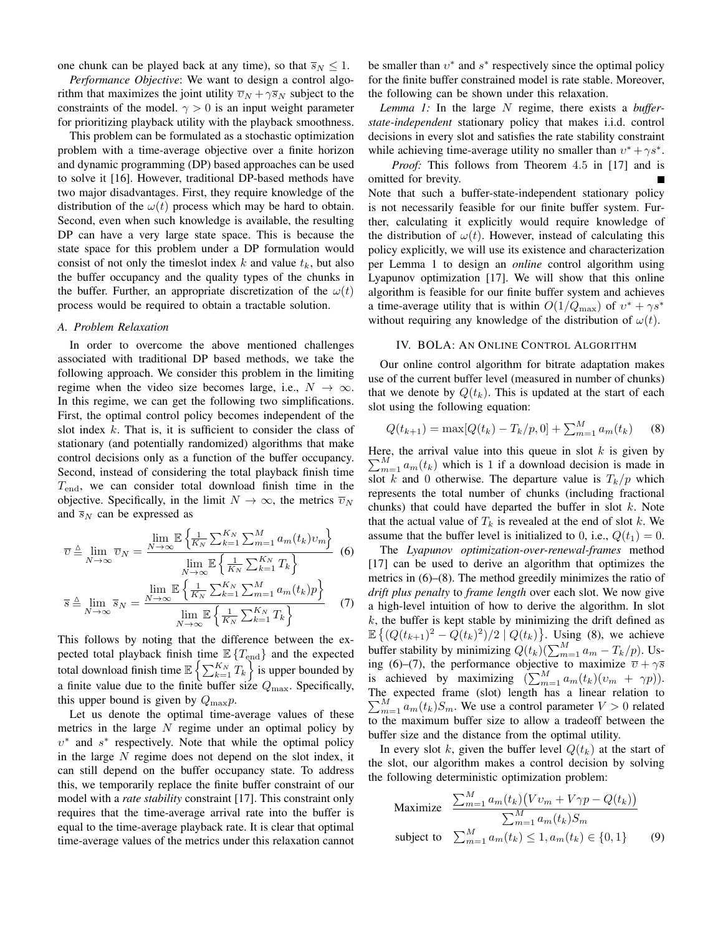one chunk can be played back at any time), so that  $\overline{s}_N \leq 1$ .

*Performance Objective*: We want to design a control algorithm that maximizes the joint utility  $\overline{v}_N + \gamma \overline{s}_N$  subject to the constraints of the model.  $\gamma > 0$  is an input weight parameter for prioritizing playback utility with the playback smoothness.

This problem can be formulated as a stochastic optimization problem with a time-average objective over a finite horizon and dynamic programming (DP) based approaches can be used to solve it [16]. However, traditional DP-based methods have two major disadvantages. First, they require knowledge of the distribution of the  $\omega(t)$  process which may be hard to obtain. Second, even when such knowledge is available, the resulting DP can have a very large state space. This is because the state space for this problem under a DP formulation would consist of not only the timeslot index  $k$  and value  $t_k$ , but also the buffer occupancy and the quality types of the chunks in the buffer. Further, an appropriate discretization of the  $\omega(t)$ process would be required to obtain a tractable solution.

#### *A. Problem Relaxation*

In order to overcome the above mentioned challenges associated with traditional DP based methods, we take the following approach. We consider this problem in the limiting regime when the video size becomes large, i.e.,  $N \to \infty$ . In this regime, we can get the following two simplifications. First, the optimal control policy becomes independent of the slot index  $k$ . That is, it is sufficient to consider the class of stationary (and potentially randomized) algorithms that make control decisions only as a function of the buffer occupancy. Second, instead of considering the total playback finish time  $T_{\text{end}}$ , we can consider total download finish time in the objective. Specifically, in the limit  $N \to \infty$ , the metrics  $\overline{v}_N$ and  $\overline{s}_N$  can be expressed as

$$
\overline{v} \triangleq \lim_{N \to \infty} \overline{v}_N = \frac{\lim_{N \to \infty} \mathbb{E} \left\{ \frac{1}{K_N} \sum_{k=1}^{K_N} \sum_{m=1}^{M} a_m(t_k) v_m \right\}}{\lim_{N \to \infty} \mathbb{E} \left\{ \frac{1}{K_N} \sum_{k=1}^{K_N} T_k \right\}} \quad (6)
$$

$$
\overline{s} \triangleq \lim_{N \to \infty} \overline{s}_N = \frac{\lim_{N \to \infty} \mathbb{E} \left\{ \frac{1}{K_N} \sum_{k=1}^{K_N} \sum_{m=1}^{M} a_m(t_k) p \right\}}{\lim_{N \to \infty} \mathbb{E} \left\{ \frac{1}{K_N} \sum_{k=1}^{K_N} T_k \right\}} \quad (7)
$$

This follows by noting that the difference between the expected total playback finish time  $\mathbb{E} \{T_{\text{end}}\}$  and the expected total download finish time  $\mathbb{E} \left\{ \sum_{k=1}^{K_N} T_k \right\}$  is upper bounded by a finite value due to the finite buffer size  $Q_{\text{max}}$ . Specifically, this upper bound is given by  $Q_{\text{max}}p$ .

Let us denote the optimal time-average values of these metrics in the large  $N$  regime under an optimal policy by  $v^*$  and  $s^*$  respectively. Note that while the optimal policy in the large  $N$  regime does not depend on the slot index, it can still depend on the buffer occupancy state. To address this, we temporarily replace the finite buffer constraint of our model with a *rate stability* constraint [17]. This constraint only requires that the time-average arrival rate into the buffer is equal to the time-average playback rate. It is clear that optimal time-average values of the metrics under this relaxation cannot

be smaller than  $v^*$  and  $s^*$  respectively since the optimal policy for the finite buffer constrained model is rate stable. Moreover, the following can be shown under this relaxation.

*Lemma 1:* In the large N regime, there exists a *bufferstate-independent* stationary policy that makes i.i.d. control decisions in every slot and satisfies the rate stability constraint while achieving time-average utility no smaller than  $v^* + \gamma s^*$ .

*Proof:* This follows from Theorem 4.5 in [17] and is omitted for brevity. Note that such a buffer-state-independent stationary policy is not necessarily feasible for our finite buffer system. Further, calculating it explicitly would require knowledge of the distribution of  $\omega(t)$ . However, instead of calculating this policy explicitly, we will use its existence and characterization per Lemma 1 to design an *online* control algorithm using Lyapunov optimization [17]. We will show that this online algorithm is feasible for our finite buffer system and achieves a time-average utility that is within  $O(1/Q_{\text{max}})$  of  $v^* + \gamma s^*$ without requiring any knowledge of the distribution of  $\omega(t)$ .

#### IV. BOLA: AN ONLINE CONTROL ALGORITHM

Our online control algorithm for bitrate adaptation makes use of the current buffer level (measured in number of chunks) that we denote by  $Q(t_k)$ . This is updated at the start of each slot using the following equation:

$$
Q(t_{k+1}) = \max[Q(t_k) - T_k/p, 0] + \sum_{m=1}^{M} a_m(t_k)
$$
 (8)

Here, the arrival value into this queue in slot  $k$  is given by  $\sum_{m=1}^{M} a_m(t_k)$  which is 1 if a download decision is made in slot k and 0 otherwise. The departure value is  $T_k/p$  which represents the total number of chunks (including fractional chunks) that could have departed the buffer in slot  $k$ . Note that the actual value of  $T_k$  is revealed at the end of slot k. We assume that the buffer level is initialized to 0, i.e.,  $Q(t_1) = 0$ .

The *Lyapunov optimization-over-renewal-frames* method [17] can be used to derive an algorithm that optimizes the metrics in (6)–(8). The method greedily minimizes the ratio of *drift plus penalty* to *frame length* over each slot. We now give a high-level intuition of how to derive the algorithm. In slot  $k$ , the buffer is kept stable by minimizing the drift defined as  $\mathbb{E}\left\{ (Q(t_{k+1})^2 - \hat{Q}(t_k)^2)/2 \mid Q(t_k) \right\}$ . Using (8), we achieve buffer stability by minimizing  $Q(t_k)(\sum_{m=1}^{M} a_m - T_k/p)$ . Using (6)–(7), the performance objective to maximize  $\overline{v} + \gamma \overline{s}$ is achieved by maximizing  $(\sum_{m=1}^{M} a_m(t_k)(v_m + \gamma p)).$ The expected frame (slot) length has a linear relation to  $\sum_{m=1}^{M} a_m(t_k) S_m$ . We use a control parameter  $V > 0$  related to the maximum buffer size to allow a tradeoff between the buffer size and the distance from the optimal utility.

In every slot k, given the buffer level  $Q(t_k)$  at the start of the slot, our algorithm makes a control decision by solving the following deterministic optimization problem:

$$
\begin{array}{ll}\text{Maximize} & \frac{\sum_{m=1}^{M} a_m(t_k) \left( V v_m + V \gamma p - Q(t_k) \right)}{\sum_{m=1}^{M} a_m(t_k) S_m} \\ \text{subject to} & \sum_{m=1}^{M} a_m(t_k) \le 1, a_m(t_k) \in \{0, 1\} \end{array} \tag{9}
$$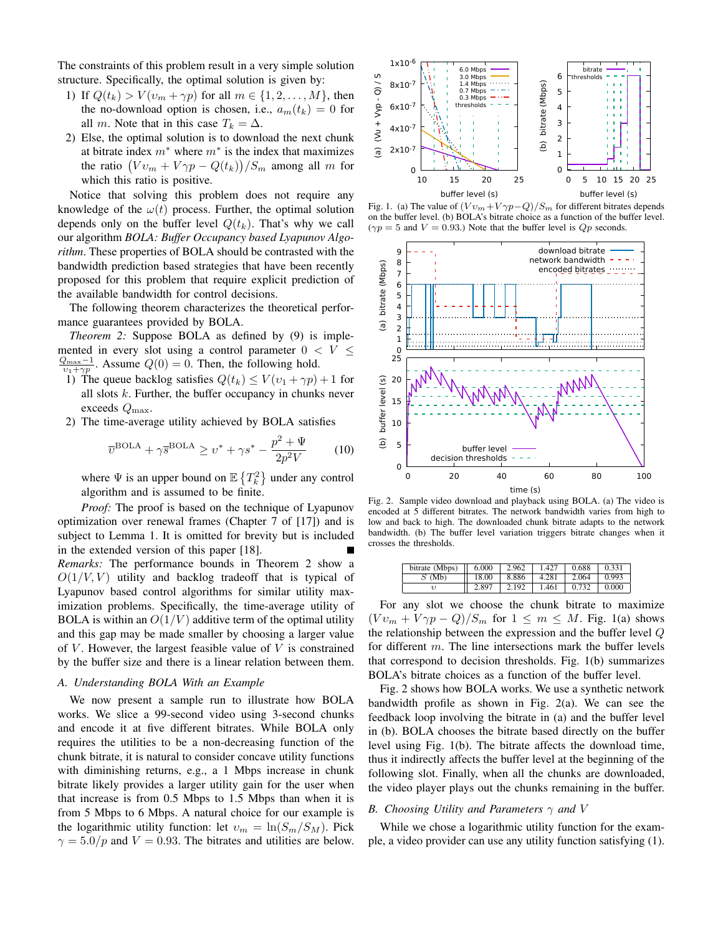The constraints of this problem result in a very simple solution structure. Specifically, the optimal solution is given by:

- 1) If  $Q(t_k) > V(v_m + \gamma p)$  for all  $m \in \{1, 2, ..., M\}$ , then the no-download option is chosen, i.e.,  $a_m(t_k) = 0$  for all m. Note that in this case  $T_k = \Delta$ .
- 2) Else, the optimal solution is to download the next chunk at bitrate index  $m^*$  where  $m^*$  is the index that maximizes the ratio  $( Vv_m + V\gamma p - Q(t_k) )/S_m$  among all m for which this ratio is positive.

Notice that solving this problem does not require any knowledge of the  $\omega(t)$  process. Further, the optimal solution depends only on the buffer level  $Q(t_k)$ . That's why we call our algorithm *BOLA: Buffer Occupancy based Lyapunov Algorithm*. These properties of BOLA should be contrasted with the bandwidth prediction based strategies that have been recently proposed for this problem that require explicit prediction of the available bandwidth for control decisions.

The following theorem characterizes the theoretical performance guarantees provided by BOLA.

*Theorem 2:* Suppose BOLA as defined by (9) is implemented in every slot using a control parameter  $0 < V \leq$  $\frac{Q_{\text{max}}-1}{v_1+\gamma p}$ . Assume  $Q(0)=0$ . Then, the following hold.

- 1) The queue backlog satisfies  $Q(t_k) \le V(v_1 + \gamma p) + 1$  for all slots  $k$ . Further, the buffer occupancy in chunks never exceeds  $Q_{\text{max}}$ .
- 2) The time-average utility achieved by BOLA satisfies

$$
\overline{v}^{\text{BOLA}} + \gamma \overline{s}^{\text{BOLA}} \ge v^* + \gamma s^* - \frac{p^2 + \Psi}{2p^2 V} \tag{10}
$$

where  $\Psi$  is an upper bound on  $\mathbb{E}\left\{T_k^2\right\}$  under any control algorithm and is assumed to be finite.

*Proof:* The proof is based on the technique of Lyapunov optimization over renewal frames (Chapter 7 of [17]) and is subject to Lemma 1. It is omitted for brevity but is included in the extended version of this paper [18].

*Remarks:* The performance bounds in Theorem 2 show a  $O(1/V, V)$  utility and backlog tradeoff that is typical of Lyapunov based control algorithms for similar utility maximization problems. Specifically, the time-average utility of BOLA is within an  $O(1/V)$  additive term of the optimal utility and this gap may be made smaller by choosing a larger value of  $V$ . However, the largest feasible value of  $V$  is constrained by the buffer size and there is a linear relation between them.

# *A. Understanding BOLA With an Example*

We now present a sample run to illustrate how BOLA works. We slice a 99-second video using 3-second chunks and encode it at five different bitrates. While BOLA only requires the utilities to be a non-decreasing function of the chunk bitrate, it is natural to consider concave utility functions with diminishing returns, e.g., a 1 Mbps increase in chunk bitrate likely provides a larger utility gain for the user when that increase is from 0.5 Mbps to 1.5 Mbps than when it is from 5 Mbps to 6 Mbps. A natural choice for our example is the logarithmic utility function: let  $v_m = \ln(S_m/S_M)$ . Pick  $\gamma = 5.0/p$  and  $V = 0.93$ . The bitrates and utilities are below.



Fig. 1. (a) The value of  $(Vv_m+V\gamma p-Q)/S_m$  for different bitrates depends on the buffer level. (b) BOLA's bitrate choice as a function of the buffer level.  $(\gamma p = 5$  and  $V = 0.93$ .) Note that the buffer level is  $Qp$  seconds.



Fig. 2. Sample video download and playback using BOLA. (a) The video is encoded at 5 different bitrates. The network bandwidth varies from high to low and back to high. The downloaded chunk bitrate adapts to the network bandwidth. (b) The buffer level variation triggers bitrate changes when it crosses the thresholds.

| bitrate (Mbps) | 6.000 | 2.962 | - 427 | 0.688 | 0.331 |
|----------------|-------|-------|-------|-------|-------|
| (Mb)           | 18.00 | 8.886 | 4.281 | 2.064 | 0.993 |
|                | ∠.897 | 2.192 | .461  |       | 0.000 |

For any slot we choose the chunk bitrate to maximize  $(Vv_m + V\gamma p - Q)/S_m$  for  $1 \leq m \leq M$ . Fig. 1(a) shows the relationship between the expression and the buffer level Q for different  $m$ . The line intersections mark the buffer levels that correspond to decision thresholds. Fig. 1(b) summarizes BOLA's bitrate choices as a function of the buffer level.

Fig. 2 shows how BOLA works. We use a synthetic network bandwidth profile as shown in Fig. 2(a). We can see the feedback loop involving the bitrate in (a) and the buffer level in (b). BOLA chooses the bitrate based directly on the buffer level using Fig. 1(b). The bitrate affects the download time, thus it indirectly affects the buffer level at the beginning of the following slot. Finally, when all the chunks are downloaded, the video player plays out the chunks remaining in the buffer.

#### *B. Choosing Utility and Parameters* γ *and* V

While we chose a logarithmic utility function for the example, a video provider can use any utility function satisfying (1).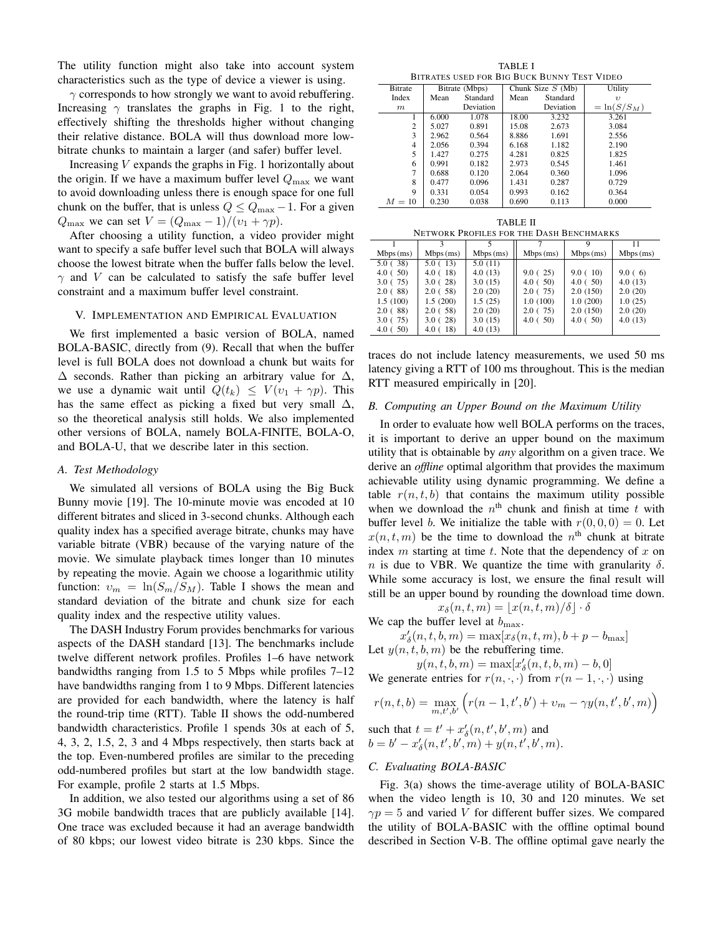The utility function might also take into account system characteristics such as the type of device a viewer is using.

 $\gamma$  corresponds to how strongly we want to avoid rebuffering. Increasing  $\gamma$  translates the graphs in Fig. 1 to the right, effectively shifting the thresholds higher without changing their relative distance. BOLA will thus download more lowbitrate chunks to maintain a larger (and safer) buffer level.

Increasing  $V$  expands the graphs in Fig. 1 horizontally about the origin. If we have a maximum buffer level  $Q_{\text{max}}$  we want to avoid downloading unless there is enough space for one full chunk on the buffer, that is unless  $Q \leq Q_{\text{max}} - 1$ . For a given  $Q_{\text{max}}$  we can set  $V = (Q_{\text{max}} - 1)/(v_1 + \gamma p)$ .

After choosing a utility function, a video provider might want to specify a safe buffer level such that BOLA will always choose the lowest bitrate when the buffer falls below the level.  $\gamma$  and V can be calculated to satisfy the safe buffer level constraint and a maximum buffer level constraint.

### V. IMPLEMENTATION AND EMPIRICAL EVALUATION

We first implemented a basic version of BOLA, named BOLA-BASIC, directly from (9). Recall that when the buffer level is full BOLA does not download a chunk but waits for  $\Delta$  seconds. Rather than picking an arbitrary value for  $\Delta$ , we use a dynamic wait until  $Q(t_k) \leq V(v_1 + \gamma p)$ . This has the same effect as picking a fixed but very small  $\Delta$ , so the theoretical analysis still holds. We also implemented other versions of BOLA, namely BOLA-FINITE, BOLA-O, and BOLA-U, that we describe later in this section.

## *A. Test Methodology*

We simulated all versions of BOLA using the Big Buck Bunny movie [19]. The 10-minute movie was encoded at 10 different bitrates and sliced in 3-second chunks. Although each quality index has a specified average bitrate, chunks may have variable bitrate (VBR) because of the varying nature of the movie. We simulate playback times longer than 10 minutes by repeating the movie. Again we choose a logarithmic utility function:  $v_m = \ln(S_m/S_M)$ . Table I shows the mean and standard deviation of the bitrate and chunk size for each quality index and the respective utility values.

The DASH Industry Forum provides benchmarks for various aspects of the DASH standard [13]. The benchmarks include twelve different network profiles. Profiles 1–6 have network bandwidths ranging from 1.5 to 5 Mbps while profiles 7–12 have bandwidths ranging from 1 to 9 Mbps. Different latencies are provided for each bandwidth, where the latency is half the round-trip time (RTT). Table II shows the odd-numbered bandwidth characteristics. Profile 1 spends 30s at each of 5, 4, 3, 2, 1.5, 2, 3 and 4 Mbps respectively, then starts back at the top. Even-numbered profiles are similar to the preceding odd-numbered profiles but start at the low bandwidth stage. For example, profile 2 starts at 1.5 Mbps.

In addition, we also tested our algorithms using a set of 86 3G mobile bandwidth traces that are publicly available [14]. One trace was excluded because it had an average bandwidth of 80 kbps; our lowest video bitrate is 230 kbps. Since the

TABLE I BITRATES USED FOR BIG BUCK BUNNY TEST VIDEO

| <b>Bitrate</b> | Bitrate (Mbps) |           |       | Chunk Size $S$ (Mb) | Utility       |  |
|----------------|----------------|-----------|-------|---------------------|---------------|--|
| Index          | Mean           | Standard  | Mean  | Standard            | $\eta$        |  |
| m              |                | Deviation |       | Deviation           | $=\ln(S/S_M)$ |  |
|                | 6.000          | 1.078     | 18.00 | 3.232               | 3.261         |  |
| 2              | 5.027          | 0.891     | 15.08 | 2.673               | 3.084         |  |
| 3              | 2.962          | 0.564     | 8.886 | 1.691               | 2.556         |  |
| $\overline{4}$ | 2.056          | 0.394     | 6.168 | 1.182               | 2.190         |  |
| 5              | 1.427          | 0.275     | 4.281 | 0.825               | 1.825         |  |
| 6              | 0.991          | 0.182     | 2.973 | 0.545               | 1.461         |  |
| 7              | 0.688          | 0.120     | 2.064 | 0.360               | 1.096         |  |
| 8              | 0.477          | 0.096     | 1.431 | 0.287               | 0.729         |  |
| 9              | 0.331          | 0.054     | 0.993 | 0.162               | 0.364         |  |
| $M=10$         | 0.230          | 0.038     | 0.690 | 0.113               | 0.000         |  |

| TARLE II |          |  |                                                                                            |  |  |  |
|----------|----------|--|--------------------------------------------------------------------------------------------|--|--|--|
|          |          |  | NETWORK PROFILES FOR THE DASH BENCHMARKS                                                   |  |  |  |
|          |          |  |                                                                                            |  |  |  |
| ps (ms)  | Mbps(ms) |  | Mbps (ms) $\left  \right $ Mbps (ms) $\left  \right $ Mbps (ms) $\left  \right $ Mbps (ms) |  |  |  |

| $Mbps$ (ms) | $Mbps$ (ms) | $Mbps$ (ms) | $Mbps$ (ms) | $Mbps$ (ms) | $Mbps$ (ms) |
|-------------|-------------|-------------|-------------|-------------|-------------|
| 5.0(38)     | 5.0(13)     | 5.0(11)     |             |             |             |
| 4.0(50)     | 4.0(18)     | 4.0(13)     | 9.0(25)     | 9.0(10)     | 9.0(6)      |
| 3.0(75)     | 3.0(28)     | 3.0(15)     | 4.0(50)     | 4.0(50)     | 4.0(13)     |
| 2.0(88)     | 2.0(58)     | 2.0(20)     | 2.0(75)     | 2.0(150)    | 2.0(20)     |
| 1.5(100)    | 1.5(200)    | 1.5(25)     | 1.0(100)    | 1.0(200)    | 1.0(25)     |
| 2.0(88)     | 2.0(58)     | 2.0(20)     | 2.0(75)     | 2.0(150)    | 2.0(20)     |
| 3.0(75)     | 3.0(28)     | 3.0(15)     | 4.0(50)     | 4.0(50)     | 4.0(13)     |
| 4.0(50)     | 4.0(18)     | 4.0(13)     |             |             |             |

traces do not include latency measurements, we used 50 ms latency giving a RTT of 100 ms throughout. This is the median RTT measured empirically in [20].

#### *B. Computing an Upper Bound on the Maximum Utility*

In order to evaluate how well BOLA performs on the traces, it is important to derive an upper bound on the maximum utility that is obtainable by *any* algorithm on a given trace. We derive an *offline* optimal algorithm that provides the maximum achievable utility using dynamic programming. We define a table  $r(n, t, b)$  that contains the maximum utility possible when we download the  $n^{\text{th}}$  chunk and finish at time t with buffer level b. We initialize the table with  $r(0, 0, 0) = 0$ . Let  $x(n, t, m)$  be the time to download the  $n<sup>th</sup>$  chunk at bitrate index  $m$  starting at time  $t$ . Note that the dependency of  $x$  on n is due to VBR. We quantize the time with granularity  $\delta$ . While some accuracy is lost, we ensure the final result will still be an upper bound by rounding the download time down.

$$
x_{\delta}(n, t, m) = \lfloor x(n, t, m)/\delta \rfloor \cdot \delta
$$

We cap the buffer level at  $b_{\text{max}}$ .

 $x'_{\delta}(n, t, b, m) = \max[x_{\delta}(n, t, m), b + p - b_{\max}]$ Let  $y(n, t, b, m)$  be the rebuffering time.

 $y(n, t, b, m) = \max[x'_\delta(n, t, b, m) - b, 0]$ We generate entries for  $r(n, \cdot, \cdot)$  from  $r(n-1, \cdot, \cdot)$  using

$$
r(n, t, b) = \max_{m, t', b'} \left( r(n - 1, t', b') + v_m - \gamma y(n, t', b', m) \right)
$$

such that  $t = t' + x'_{\delta}(n, t', b', m)$  and  $b = b' - x'_{\delta}(n, t', b', m) + y(n, t', b', m).$ 

## *C. Evaluating BOLA-BASIC*

Fig. 3(a) shows the time-average utility of BOLA-BASIC when the video length is 10, 30 and 120 minutes. We set  $\gamma p = 5$  and varied V for different buffer sizes. We compared the utility of BOLA-BASIC with the offline optimal bound described in Section V-B. The offline optimal gave nearly the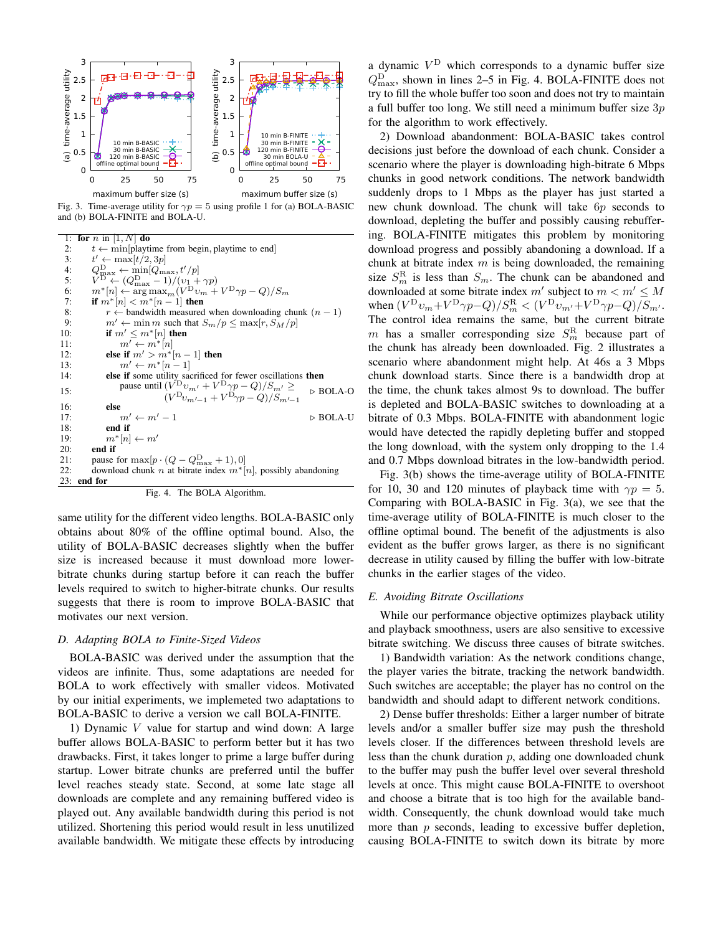

Fig. 3. Time-average utility for  $\gamma p = 5$  using profile 1 for (a) BOLA-BASIC and (b) BOLA-FINITE and BOLA-U.

1: for  $n$  in  $[1, N]$  do 2:  $t \leftarrow min[playtime from begin, playtime to end]$ 3:  $t' \leftarrow \max[t/2, 3p]$ 4:  $Q_{\text{max}}^{\text{D}} \leftarrow \min_{\text{min}}[Q_{\text{max}}^{\text{D}}, t'/p]$ <br>5:  $V^{\text{D}} \leftarrow (Q_{\text{max}}^{\text{D}} - 1)/(v_1 + \gamma p)$ <br>6:  $m^*[n] \leftarrow \arg \max_m(V^{\text{D}} v_m + V^{\text{D}} \gamma p - Q)/S_m$ 7: if  $m^*[n] < m^*[n-1]$  then 8:  $r \leftarrow$  bandwidth measured when downloading chunk  $(n - 1)$ <br>9:  $m' \leftarrow \min m$  such that  $S_m/p \leq \max[r, S_M/p]$ 9:  $m' \leftarrow \min m$  such that  $S_m/p \leq \max[r, S_M/p]$ <br>10: **if**  $m' \leq m^*[n]$  **then** if  $m' \leq m^*[n]$  then 11:  $m' \leftarrow m^*[n]$ <br>12: **else if**  $m' > m^*$ 12: **else if**  $m' > m^*[n-1]$  then<br>13:  $m' \leftarrow m^*[n-1]$ 13:  $m' \leftarrow m^*[n-1]$ <br>14: **else if** some utility sa 14: else if some utility sacrificed for fewer oscillations then 15: pause until  $(\overline{V}^{\text{D}} v_{m'} + \overline{V}^{\text{D}} \gamma p - Q)/S_{m'} \ge$  $(V^{\text{D}}v_{m'-1} + V^{\text{D}}\gamma p - Q)/S_{m'-1}$  $\triangleright$  BOLA-O 16: else 17:  $m' \leftarrow m' - 1$   $\triangleright$  BOLA-U 18: **end if**  $m^*[n]$ 19:  $m^*[n] \leftarrow m'$ <br>20: **end if** end if 21: pause for  $\max[p \cdot (Q - Q_{\text{max}}^D + 1), 0]$ 22: download chunk n at bitrate index  $m^*[n]$ , possibly abandoning 23: end for Fig. 4. The BOLA Algorithm.

same utility for the different video lengths. BOLA-BASIC only obtains about 80% of the offline optimal bound. Also, the utility of BOLA-BASIC decreases slightly when the buffer size is increased because it must download more lowerbitrate chunks during startup before it can reach the buffer levels required to switch to higher-bitrate chunks. Our results suggests that there is room to improve BOLA-BASIC that motivates our next version.

## *D. Adapting BOLA to Finite-Sized Videos*

BOLA-BASIC was derived under the assumption that the videos are infinite. Thus, some adaptations are needed for BOLA to work effectively with smaller videos. Motivated by our initial experiments, we implemeted two adaptations to BOLA-BASIC to derive a version we call BOLA-FINITE.

1) Dynamic  $V$  value for startup and wind down: A large buffer allows BOLA-BASIC to perform better but it has two drawbacks. First, it takes longer to prime a large buffer during startup. Lower bitrate chunks are preferred until the buffer level reaches steady state. Second, at some late stage all downloads are complete and any remaining buffered video is played out. Any available bandwidth during this period is not utilized. Shortening this period would result in less unutilized available bandwidth. We mitigate these effects by introducing

a dynamic  $V^D$  which corresponds to a dynamic buffer size  $Q_{\text{max}}^{\text{D}}$ , shown in lines 2–5 in Fig. 4. BOLA-FINITE does not try to fill the whole buffer too soon and does not try to maintain a full buffer too long. We still need a minimum buffer size  $3p$ for the algorithm to work effectively.

2) Download abandonment: BOLA-BASIC takes control decisions just before the download of each chunk. Consider a scenario where the player is downloading high-bitrate 6 Mbps chunks in good network conditions. The network bandwidth suddenly drops to 1 Mbps as the player has just started a new chunk download. The chunk will take 6p seconds to download, depleting the buffer and possibly causing rebuffering. BOLA-FINITE mitigates this problem by monitoring download progress and possibly abandoning a download. If a chunk at bitrate index  $m$  is being downloaded, the remaining size  $S_m^R$  is less than  $S_m$ . The chunk can be abandoned and downloaded at some bitrate index m' subject to  $m < m' \le M$ when  $(V^{\text{D}}v_m + V^{\text{D}}\gamma p - Q)/S_m^{\text{R}} < (V^{\text{D}}v_{m'} + V^{\text{D}}\gamma p - Q)/S_{m'}$ . The control idea remains the same, but the current bitrate m has a smaller corresponding size  $S_m^R$  because part of the chunk has already been downloaded. Fig. 2 illustrates a scenario where abandonment might help. At 46s a 3 Mbps chunk download starts. Since there is a bandwidth drop at the time, the chunk takes almost 9s to download. The buffer is depleted and BOLA-BASIC switches to downloading at a bitrate of 0.3 Mbps. BOLA-FINITE with abandonment logic would have detected the rapidly depleting buffer and stopped the long download, with the system only dropping to the 1.4 and 0.7 Mbps download bitrates in the low-bandwidth period.

Fig. 3(b) shows the time-average utility of BOLA-FINITE for 10, 30 and 120 minutes of playback time with  $\gamma p = 5$ . Comparing with BOLA-BASIC in Fig. 3(a), we see that the time-average utility of BOLA-FINITE is much closer to the offline optimal bound. The benefit of the adjustments is also evident as the buffer grows larger, as there is no significant decrease in utility caused by filling the buffer with low-bitrate chunks in the earlier stages of the video.

#### *E. Avoiding Bitrate Oscillations*

While our performance objective optimizes playback utility and playback smoothness, users are also sensitive to excessive bitrate switching. We discuss three causes of bitrate switches.

1) Bandwidth variation: As the network conditions change, the player varies the bitrate, tracking the network bandwidth. Such switches are acceptable; the player has no control on the bandwidth and should adapt to different network conditions.

2) Dense buffer thresholds: Either a larger number of bitrate levels and/or a smaller buffer size may push the threshold levels closer. If the differences between threshold levels are less than the chunk duration  $p$ , adding one downloaded chunk to the buffer may push the buffer level over several threshold levels at once. This might cause BOLA-FINITE to overshoot and choose a bitrate that is too high for the available bandwidth. Consequently, the chunk download would take much more than p seconds, leading to excessive buffer depletion, causing BOLA-FINITE to switch down its bitrate by more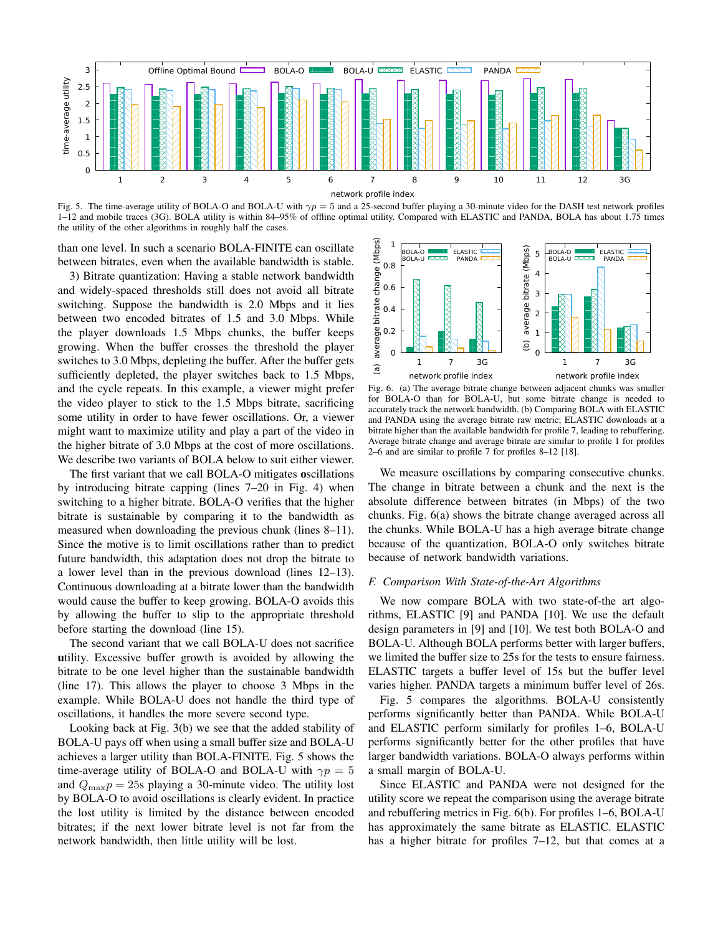

Fig. 5. The time-average utility of BOLA-O and BOLA-U with  $\gamma p = 5$  and a 25-second buffer playing a 30-minute video for the DASH test network profiles 1–12 and mobile traces (3G). BOLA utility is within 84–95% of offline optimal utility. Compared with ELASTIC and PANDA, BOLA has about 1.75 times the utility of the other algorithms in roughly half the cases.

than one level. In such a scenario BOLA-FINITE can oscillate between bitrates, even when the available bandwidth is stable.

3) Bitrate quantization: Having a stable network bandwidth and widely-spaced thresholds still does not avoid all bitrate switching. Suppose the bandwidth is 2.0 Mbps and it lies between two encoded bitrates of 1.5 and 3.0 Mbps. While the player downloads 1.5 Mbps chunks, the buffer keeps growing. When the buffer crosses the threshold the player switches to 3.0 Mbps, depleting the buffer. After the buffer gets sufficiently depleted, the player switches back to 1.5 Mbps, and the cycle repeats. In this example, a viewer might prefer the video player to stick to the 1.5 Mbps bitrate, sacrificing some utility in order to have fewer oscillations. Or, a viewer might want to maximize utility and play a part of the video in the higher bitrate of 3.0 Mbps at the cost of more oscillations. We describe two variants of BOLA below to suit either viewer.

The first variant that we call BOLA-O mitigates oscillations by introducing bitrate capping (lines 7–20 in Fig. 4) when switching to a higher bitrate. BOLA-O verifies that the higher bitrate is sustainable by comparing it to the bandwidth as measured when downloading the previous chunk (lines 8–11). Since the motive is to limit oscillations rather than to predict future bandwidth, this adaptation does not drop the bitrate to a lower level than in the previous download (lines 12–13). Continuous downloading at a bitrate lower than the bandwidth would cause the buffer to keep growing. BOLA-O avoids this by allowing the buffer to slip to the appropriate threshold before starting the download (line 15).

The second variant that we call BOLA-U does not sacrifice utility. Excessive buffer growth is avoided by allowing the bitrate to be one level higher than the sustainable bandwidth (line 17). This allows the player to choose 3 Mbps in the example. While BOLA-U does not handle the third type of oscillations, it handles the more severe second type.

Looking back at Fig. 3(b) we see that the added stability of BOLA-U pays off when using a small buffer size and BOLA-U achieves a larger utility than BOLA-FINITE. Fig. 5 shows the time-average utility of BOLA-O and BOLA-U with  $\gamma p = 5$ and  $Q_{\text{max}}p = 25$ s playing a 30-minute video. The utility lost by BOLA-O to avoid oscillations is clearly evident. In practice the lost utility is limited by the distance between encoded bitrates; if the next lower bitrate level is not far from the network bandwidth, then little utility will be lost.



Fig. 6. (a) The average bitrate change between adjacent chunks was smaller for BOLA-O than for BOLA-U, but some bitrate change is needed to accurately track the network bandwidth. (b) Comparing BOLA with ELASTIC and PANDA using the average bitrate raw metric; ELASTIC downloads at a bitrate higher than the available bandwidth for profile 7, leading to rebuffering. Average bitrate change and average bitrate are similar to profile 1 for profiles 2–6 and are similar to profile 7 for profiles 8–12 [18].

We measure oscillations by comparing consecutive chunks. The change in bitrate between a chunk and the next is the absolute difference between bitrates (in Mbps) of the two chunks. Fig. 6(a) shows the bitrate change averaged across all the chunks. While BOLA-U has a high average bitrate change because of the quantization, BOLA-O only switches bitrate because of network bandwidth variations.

#### *F. Comparison With State-of-the-Art Algorithms*

We now compare BOLA with two state-of-the art algorithms, ELASTIC [9] and PANDA [10]. We use the default design parameters in [9] and [10]. We test both BOLA-O and BOLA-U. Although BOLA performs better with larger buffers, we limited the buffer size to 25s for the tests to ensure fairness. ELASTIC targets a buffer level of 15s but the buffer level varies higher. PANDA targets a minimum buffer level of 26s.

Fig. 5 compares the algorithms. BOLA-U consistently performs significantly better than PANDA. While BOLA-U and ELASTIC perform similarly for profiles 1–6, BOLA-U performs significantly better for the other profiles that have larger bandwidth variations. BOLA-O always performs within a small margin of BOLA-U.

Since ELASTIC and PANDA were not designed for the utility score we repeat the comparison using the average bitrate and rebuffering metrics in Fig. 6(b). For profiles 1–6, BOLA-U has approximately the same bitrate as ELASTIC. ELASTIC has a higher bitrate for profiles 7–12, but that comes at a